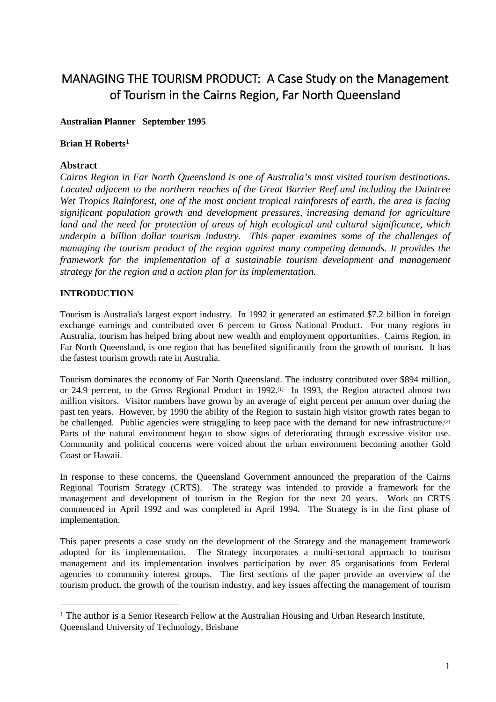# MANAGING THE TOURISM PRODUCT: A Case Study on the Management of Tourism in the Cairns Region, Far North Queensland

# **Australian Planner September 1995**

## **Brian H Roberts[1](#page-0-0)**

# **Abstract**

*Cairns Region in Far North Queensland is one of Australia's most visited tourism destinations. Located adjacent to the northern reaches of the Great Barrier Reef and including the Daintree Wet Tropics Rainforest, one of the most ancient tropical rainforests of earth, the area is facing significant population growth and development pressures, increasing demand for agriculture land and the need for protection of areas of high ecological and cultural significance, which underpin a billion dollar tourism industry. This paper examines some of the challenges of managing the tourism product of the region against many competing demands. It provides the framework for the implementation of a sustainable tourism development and management strategy for the region and a action plan for its implementation.*

# **INTRODUCTION**

Tourism is Australia's largest export industry. In 1992 it generated an estimated \$7.2 billion in foreign exchange earnings and contributed over 6 percent to Gross National Product. For many regions in Australia, tourism has helped bring about new wealth and employment opportunities. Cairns Region, in Far North Queensland, is one region that has benefited significantly from the growth of tourism. It has the fastest tourism growth rate in Australia.

Tourism dominates the economy of Far North Queensland. The industry contributed over \$894 million, or 24.9 percent, to the Gross Regional Product in 1992.<sup>(1)</sup> In 1993, the Region attracted almost two million visitors. Visitor numbers have grown by an average of eight percent per annum over during the past ten years. However, by 1990 the ability of the Region to sustain high visitor growth rates began to be challenged. Public agencies were struggling to keep pace with the demand for new infrastructure.<sup>(2)</sup> Parts of the natural environment began to show signs of deteriorating through excessive visitor use. Community and political concerns were voiced about the urban environment becoming another Gold Coast or Hawaii.

In response to these concerns, the Queensland Government announced the preparation of the Cairns Regional Tourism Strategy (CRTS). The strategy was intended to provide a framework for the management and development of tourism in the Region for the next 20 years. Work on CRTS commenced in April 1992 and was completed in April 1994. The Strategy is in the first phase of implementation.

This paper presents a case study on the development of the Strategy and the management framework adopted for its implementation. The Strategy incorporates a multi-sectoral approach to tourism management and its implementation involves participation by over 85 organisations from Federal agencies to community interest groups. The first sections of the paper provide an overview of the tourism product, the growth of the tourism industry, and key issues affecting the management of tourism

<span id="page-0-0"></span><sup>&</sup>lt;sup>1</sup> The author is a Senior Research Fellow at the Australian Housing and Urban Research Institute, Queensland University of Technology, Brisbane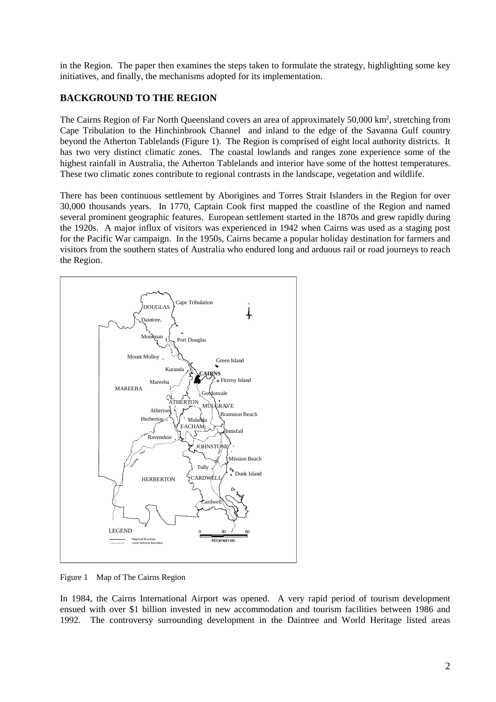in the Region. The paper then examines the steps taken to formulate the strategy, highlighting some key initiatives, and finally, the mechanisms adopted for its implementation.

# **BACKGROUND TO THE REGION**

The Cairns Region of Far North Queensland covers an area of approximately 50,000 km<sup>2</sup>, stretching from Cape Tribulation to the Hinchinbrook Channel and inland to the edge of the Savanna Gulf country beyond the Atherton Tablelands (Figure 1). The Region is comprised of eight local authority districts. It has two very distinct climatic zones. The coastal lowlands and ranges zone experience some of the highest rainfall in Australia, the Atherton Tablelands and interior have some of the hottest temperatures. These two climatic zones contribute to regional contrasts in the landscape, vegetation and wildlife.

There has been continuous settlement by Aborigines and Torres Strait Islanders in the Region for over 30,000 thousands years. In 1770, Captain Cook first mapped the coastline of the Region and named several prominent geographic features. European settlement started in the 1870s and grew rapidly during the 1920s. A major influx of visitors was experienced in 1942 when Cairns was used as a staging post for the Pacific War campaign. In the 1950s, Cairns became a popular holiday destination for farmers and visitors from the southern states of Australia who endured long and arduous rail or road journeys to reach the Region.



Figure 1 Map of The Cairns Region

In 1984, the Cairns International Airport was opened. A very rapid period of tourism development ensued with over \$1 billion invested in new accommodation and tourism facilities between 1986 and 1992. The controversy surrounding development in the Daintree and World Heritage listed areas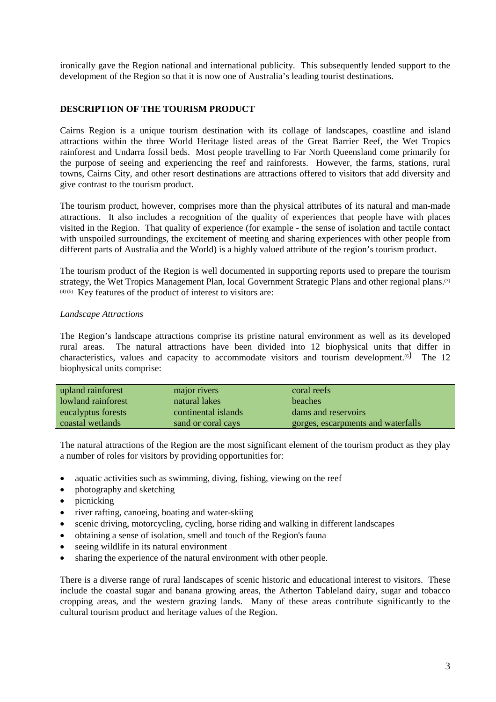ironically gave the Region national and international publicity. This subsequently lended support to the development of the Region so that it is now one of Australia's leading tourist destinations.

## **DESCRIPTION OF THE TOURISM PRODUCT**

Cairns Region is a unique tourism destination with its collage of landscapes, coastline and island attractions within the three World Heritage listed areas of the Great Barrier Reef, the Wet Tropics rainforest and Undarra fossil beds. Most people travelling to Far North Queensland come primarily for the purpose of seeing and experiencing the reef and rainforests. However, the farms, stations, rural towns, Cairns City, and other resort destinations are attractions offered to visitors that add diversity and give contrast to the tourism product.

The tourism product, however, comprises more than the physical attributes of its natural and man-made attractions. It also includes a recognition of the quality of experiences that people have with places visited in the Region. That quality of experience (for example - the sense of isolation and tactile contact with unspoiled surroundings, the excitement of meeting and sharing experiences with other people from different parts of Australia and the World) is a highly valued attribute of the region's tourism product.

The tourism product of the Region is well documented in supporting reports used to prepare the tourism strategy, the Wet Tropics Management Plan, local Government Strategic Plans and other regional plans.<sup>(3)</sup>  $(4)$  (5) Key features of the product of interest to visitors are:

#### *Landscape Attractions*

The Region's landscape attractions comprise its pristine natural environment as well as its developed rural areas. The natural attractions have been divided into 12 biophysical units that differ in characteristics, values and capacity to accommodate visitors and tourism development.<sup>(6)</sup> The 12 biophysical units comprise:

| upland rainforest  | major rivers        | coral reefs                        |
|--------------------|---------------------|------------------------------------|
| lowland rainforest | natural lakes       | <b>beaches</b>                     |
| eucalyptus forests | continental islands | dams and reservoirs                |
| coastal wetlands   | sand or coral cays  | gorges, escarpments and waterfalls |

The natural attractions of the Region are the most significant element of the tourism product as they play a number of roles for visitors by providing opportunities for:

- aquatic activities such as swimming, diving, fishing, viewing on the reef
- photography and sketching
- picnicking
- river rafting, canoeing, boating and water-skiing
- scenic driving, motorcycling, cycling, horse riding and walking in different landscapes
- obtaining a sense of isolation, smell and touch of the Region's fauna
- seeing wildlife in its natural environment
- sharing the experience of the natural environment with other people.

There is a diverse range of rural landscapes of scenic historic and educational interest to visitors. These include the coastal sugar and banana growing areas, the Atherton Tableland dairy, sugar and tobacco cropping areas, and the western grazing lands. Many of these areas contribute significantly to the cultural tourism product and heritage values of the Region.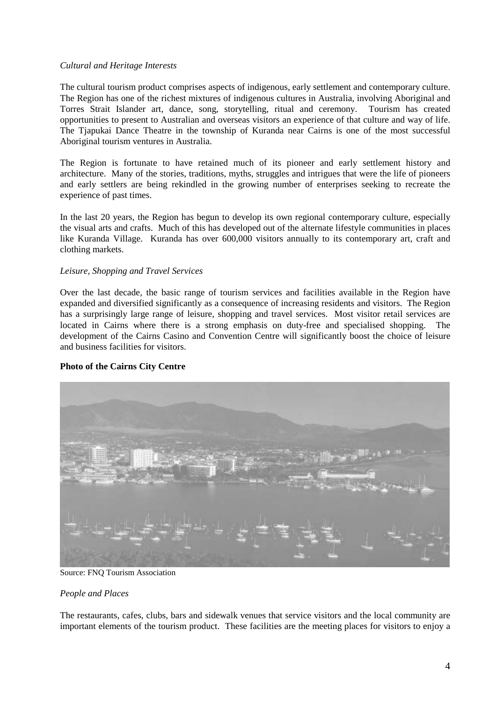#### *Cultural and Heritage Interests*

The cultural tourism product comprises aspects of indigenous, early settlement and contemporary culture. The Region has one of the richest mixtures of indigenous cultures in Australia, involving Aboriginal and Torres Strait Islander art, dance, song, storytelling, ritual and ceremony. Tourism has created opportunities to present to Australian and overseas visitors an experience of that culture and way of life. The Tjapukai Dance Theatre in the township of Kuranda near Cairns is one of the most successful Aboriginal tourism ventures in Australia.

The Region is fortunate to have retained much of its pioneer and early settlement history and architecture. Many of the stories, traditions, myths, struggles and intrigues that were the life of pioneers and early settlers are being rekindled in the growing number of enterprises seeking to recreate the experience of past times.

In the last 20 years, the Region has begun to develop its own regional contemporary culture, especially the visual arts and crafts. Much of this has developed out of the alternate lifestyle communities in places like Kuranda Village. Kuranda has over 600,000 visitors annually to its contemporary art, craft and clothing markets.

## *Leisure, Shopping and Travel Services*

Over the last decade, the basic range of tourism services and facilities available in the Region have expanded and diversified significantly as a consequence of increasing residents and visitors. The Region has a surprisingly large range of leisure, shopping and travel services. Most visitor retail services are located in Cairns where there is a strong emphasis on duty-free and specialised shopping. The development of the Cairns Casino and Convention Centre will significantly boost the choice of leisure and business facilities for visitors.

#### **Photo of the Cairns City Centre**



Source: FNQ Tourism Association

#### *People and Places*

The restaurants, cafes, clubs, bars and sidewalk venues that service visitors and the local community are important elements of the tourism product. These facilities are the meeting places for visitors to enjoy a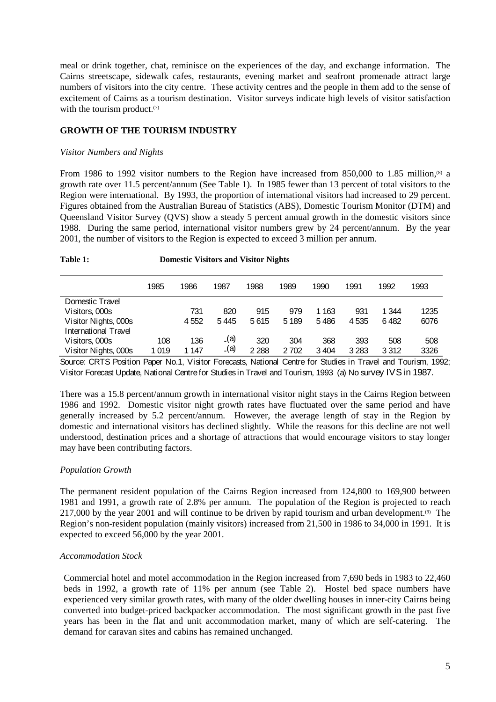meal or drink together, chat, reminisce on the experiences of the day, and exchange information. The Cairns streetscape, sidewalk cafes, restaurants, evening market and seafront promenade attract large numbers of visitors into the city centre. These activity centres and the people in them add to the sense of excitement of Cairns as a tourism destination. Visitor surveys indicate high levels of visitor satisfaction with the tourism product. $(7)$ 

## **GROWTH OF THE TOURISM INDUSTRY**

#### *Visitor Numbers and Nights*

From 1986 to 1992 visitor numbers to the Region have increased from 850,000 to 1.85 million,<sup>(8)</sup> a growth rate over 11.5 percent/annum (See Table 1). In 1985 fewer than 13 percent of total visitors to the Region were international. By 1993, the proportion of international visitors had increased to 29 percent. Figures obtained from the Australian Bureau of Statistics (ABS), Domestic Tourism Monitor (DTM) and Queensland Visitor Survey (QVS) show a steady 5 percent annual growth in the domestic visitors since 1988. During the same period, international visitor numbers grew by 24 percent/annum. By the year 2001, the number of visitors to the Region is expected to exceed 3 million per annum.

## **Table 1: Domestic Visitors and Visitor Nights**

|                      | 1985    | 1986 | 1987 | 1988    | 1989    | 1990    | 1991    | 1992  | 1993 |
|----------------------|---------|------|------|---------|---------|---------|---------|-------|------|
| Domestic Travel      |         |      |      |         |         |         |         |       |      |
| Visitors, 000s       |         | 731  | 820  | 915     | 979     | 1 1 6 3 | 931     | 1 344 | 1235 |
| Visitor Nights, 000s |         | 4552 | 5445 | 5615    | 5 1 8 9 | 5486    | 4535    | 6482  | 6076 |
| International Travel |         |      |      |         |         |         |         |       |      |
| Visitors, 000s       | 108     | 136  | _(a) | 320     | 304     | 368     | 393     | 508   | 508  |
| Visitor Nights, 000s | 1 0 1 9 | 147  | _(a) | 2 2 8 8 | 2702    | 3404    | 3 2 8 3 | 3312  | 3326 |

Source: CRTS Position Paper No.1, Visitor Forecasts, National Centre for Studies in Travel and Tourism, 1992; Visitor Forecast Update, National Centre for Studies in Travel and Tourism, 1993 (a) No survey IVS in 1987.

There was a 15.8 percent/annum growth in international visitor night stays in the Cairns Region between 1986 and 1992. Domestic visitor night growth rates have fluctuated over the same period and have generally increased by 5.2 percent/annum. However, the average length of stay in the Region by domestic and international visitors has declined slightly. While the reasons for this decline are not well understood, destination prices and a shortage of attractions that would encourage visitors to stay longer may have been contributing factors.

#### *Population Growth*

The permanent resident population of the Cairns Region increased from 124,800 to 169,900 between 1981 and 1991, a growth rate of 2.8% per annum. The population of the Region is projected to reach 217,000 by the year 2001 and will continue to be driven by rapid tourism and urban development.<sup>(9)</sup> The Region's non-resident population (mainly visitors) increased from 21,500 in 1986 to 34,000 in 1991. It is expected to exceed 56,000 by the year 2001.

#### *Accommodation Stock*

Commercial hotel and motel accommodation in the Region increased from 7,690 beds in 1983 to 22,460 beds in 1992, a growth rate of 11% per annum (see Table 2). Hostel bed space numbers have experienced very similar growth rates, with many of the older dwelling houses in inner-city Cairns being converted into budget-priced backpacker accommodation. The most significant growth in the past five years has been in the flat and unit accommodation market, many of which are self-catering. The demand for caravan sites and cabins has remained unchanged.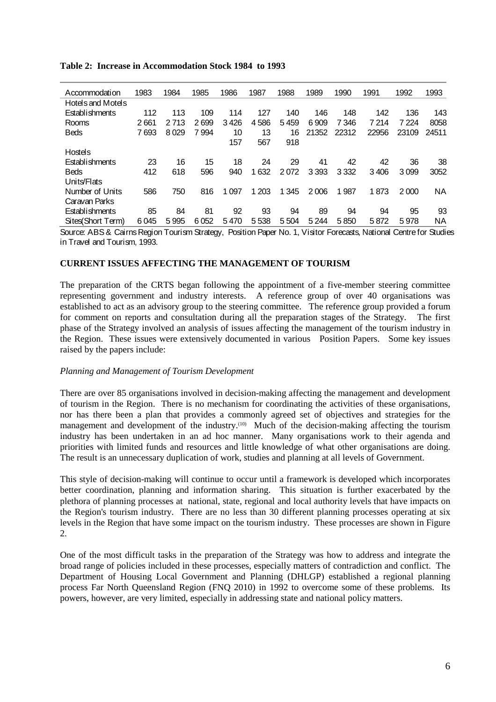| Accommodation     | 1983  | 1984    | 1985 | 1986    | 1987  | 1988    | 1989    | 1990    | 1991    | 1992    | 1993  |
|-------------------|-------|---------|------|---------|-------|---------|---------|---------|---------|---------|-------|
| Hotels and Motels |       |         |      |         |       |         |         |         |         |         |       |
| Establishments    | 112   | 113     | 109  | 114     | 127   | 140     | 146     | 148     | 142     | 136     | 143   |
| Rooms             | 2661  | 2 7 1 3 | 2699 | 3426    | 4586  | 5459    | 6909    | 7 346   | 7 2 1 4 | 7 2 2 4 | 8058  |
| <b>Beds</b>       | 7 693 | 8029    | 7994 | 10      | 13    | 16      | 21352   | 22312   | 22956   | 23109   | 24511 |
|                   |       |         |      | 157     | 567   | 918     |         |         |         |         |       |
| <b>Hostels</b>    |       |         |      |         |       |         |         |         |         |         |       |
| Establishments    | 23    | 16      | 15   | 18      | 24    | 29      | 41      | 42      | 42      | 36      | 38    |
| Beds              | 412   | 618     | 596  | 940     | 1632  | 2072    | 3 3 9 3 | 3 3 3 2 | 3406    | 3099    | 3052  |
| Units/Flats       |       |         |      |         |       |         |         |         |         |         |       |
| Number of Units   | 586   | 750     | 816  | 1 0 9 7 | 1 203 | 1 3 4 5 | 2006    | 987     | 1873    | 2000    | ΝA    |
| Caravan Parks     |       |         |      |         |       |         |         |         |         |         |       |
| Establishments    | 85    | 84      | 81   | 92      | 93    | 94      | 89      | 94      | 94      | 95      | 93    |
| Sites(Short Term) | 6045  | 5995    | 6052 | 5470    | 5538  | 5504    | 5 2 4 4 | 5850    | 5872    | 5978    | ΝA    |

#### **Table 2: Increase in Accommodation Stock 1984 to 1993**

Source: ABS & Cairns Region Tourism Strategy, Position Paper No. 1, Visitor Forecasts, National Centre for Studies in Travel and Tourism, 1993.

# **CURRENT ISSUES AFFECTING THE MANAGEMENT OF TOURISM**

The preparation of the CRTS began following the appointment of a five-member steering committee representing government and industry interests. A reference group of over 40 organisations was established to act as an advisory group to the steering committee. The reference group provided a forum for comment on reports and consultation during all the preparation stages of the Strategy. The first phase of the Strategy involved an analysis of issues affecting the management of the tourism industry in the Region. These issues were extensively documented in various Position Papers. Some key issues raised by the papers include:

#### *Planning and Management of Tourism Development*

There are over 85 organisations involved in decision-making affecting the management and development of tourism in the Region. There is no mechanism for coordinating the activities of these organisations, nor has there been a plan that provides a commonly agreed set of objectives and strategies for the management and development of the industry.<sup>(10)</sup> Much of the decision-making affecting the tourism industry has been undertaken in an ad hoc manner. Many organisations work to their agenda and priorities with limited funds and resources and little knowledge of what other organisations are doing. The result is an unnecessary duplication of work, studies and planning at all levels of Government.

This style of decision-making will continue to occur until a framework is developed which incorporates better coordination, planning and information sharing. This situation is further exacerbated by the plethora of planning processes at national, state, regional and local authority levels that have impacts on the Region's tourism industry. There are no less than 30 different planning processes operating at six levels in the Region that have some impact on the tourism industry. These processes are shown in Figure 2.

One of the most difficult tasks in the preparation of the Strategy was how to address and integrate the broad range of policies included in these processes, especially matters of contradiction and conflict. The Department of Housing Local Government and Planning (DHLGP) established a regional planning process Far North Queensland Region (FNQ 2010) in 1992 to overcome some of these problems. Its powers, however, are very limited, especially in addressing state and national policy matters.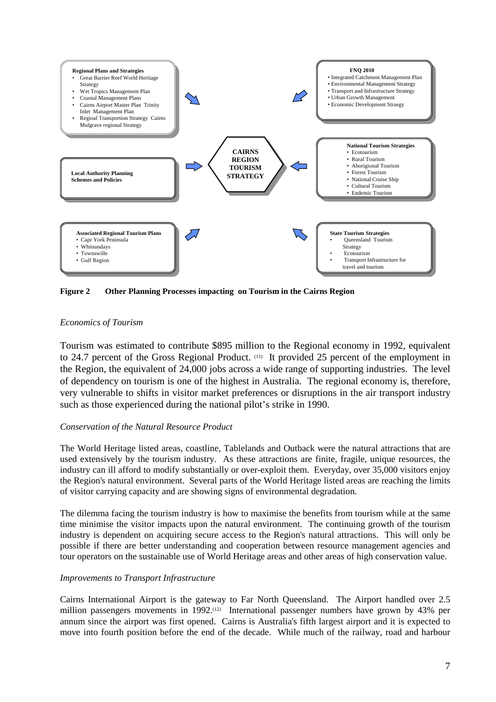

**Figure 2 Other Planning Processes impacting on Tourism in the Cairns Region**

# *Economics of Tourism*

Tourism was estimated to contribute \$895 million to the Regional economy in 1992, equivalent to 24.7 percent of the Gross Regional Product. (11) It provided 25 percent of the employment in the Region, the equivalent of 24,000 jobs across a wide range of supporting industries. The level of dependency on tourism is one of the highest in Australia. The regional economy is, therefore, very vulnerable to shifts in visitor market preferences or disruptions in the air transport industry such as those experienced during the national pilot's strike in 1990.

# *Conservation of the Natural Resource Product*

The World Heritage listed areas, coastline, Tablelands and Outback were the natural attractions that are used extensively by the tourism industry. As these attractions are finite, fragile, unique resources, the industry can ill afford to modify substantially or over-exploit them. Everyday, over 35,000 visitors enjoy the Region's natural environment. Several parts of the World Heritage listed areas are reaching the limits of visitor carrying capacity and are showing signs of environmental degradation.

The dilemma facing the tourism industry is how to maximise the benefits from tourism while at the same time minimise the visitor impacts upon the natural environment. The continuing growth of the tourism industry is dependent on acquiring secure access to the Region's natural attractions. This will only be possible if there are better understanding and cooperation between resource management agencies and tour operators on the sustainable use of World Heritage areas and other areas of high conservation value.

# *Improvements to Transport Infrastructure*

Cairns International Airport is the gateway to Far North Queensland. The Airport handled over 2.5 million passengers movements in  $1992$ .<sup>(12)</sup> International passenger numbers have grown by 43% per annum since the airport was first opened. Cairns is Australia's fifth largest airport and it is expected to move into fourth position before the end of the decade. While much of the railway, road and harbour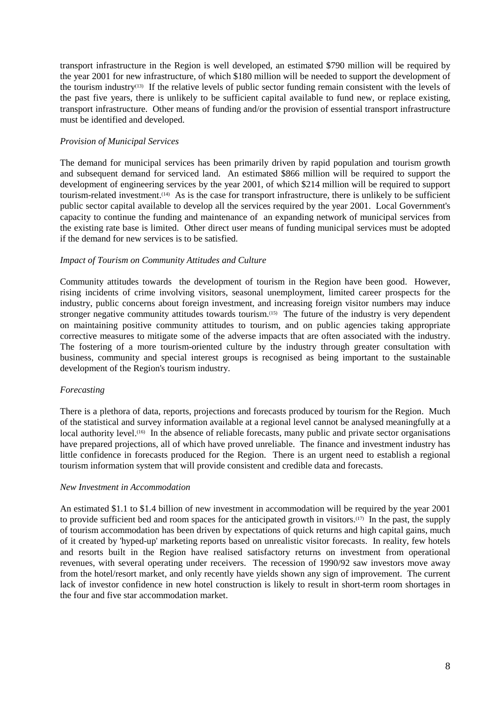transport infrastructure in the Region is well developed, an estimated \$790 million will be required by the year 2001 for new infrastructure, of which \$180 million will be needed to support the development of the tourism industry(13) If the relative levels of public sector funding remain consistent with the levels of the past five years, there is unlikely to be sufficient capital available to fund new, or replace existing, transport infrastructure. Other means of funding and/or the provision of essential transport infrastructure must be identified and developed.

## *Provision of Municipal Services*

The demand for municipal services has been primarily driven by rapid population and tourism growth and subsequent demand for serviced land. An estimated \$866 million will be required to support the development of engineering services by the year 2001, of which \$214 million will be required to support tourism-related investment.(14) As is the case for transport infrastructure, there is unlikely to be sufficient public sector capital available to develop all the services required by the year 2001. Local Government's capacity to continue the funding and maintenance of an expanding network of municipal services from the existing rate base is limited. Other direct user means of funding municipal services must be adopted if the demand for new services is to be satisfied.

## *Impact of Tourism on Community Attitudes and Culture*

Community attitudes towards the development of tourism in the Region have been good. However, rising incidents of crime involving visitors, seasonal unemployment, limited career prospects for the industry, public concerns about foreign investment, and increasing foreign visitor numbers may induce stronger negative community attitudes towards tourism.(15) The future of the industry is very dependent on maintaining positive community attitudes to tourism, and on public agencies taking appropriate corrective measures to mitigate some of the adverse impacts that are often associated with the industry. The fostering of a more tourism-oriented culture by the industry through greater consultation with business, community and special interest groups is recognised as being important to the sustainable development of the Region's tourism industry.

# *Forecasting*

There is a plethora of data, reports, projections and forecasts produced by tourism for the Region. Much of the statistical and survey information available at a regional level cannot be analysed meaningfully at a local authority level.<sup>(16)</sup> In the absence of reliable forecasts, many public and private sector organisations have prepared projections, all of which have proved unreliable. The finance and investment industry has little confidence in forecasts produced for the Region. There is an urgent need to establish a regional tourism information system that will provide consistent and credible data and forecasts.

#### *New Investment in Accommodation*

An estimated \$1.1 to \$1.4 billion of new investment in accommodation will be required by the year 2001 to provide sufficient bed and room spaces for the anticipated growth in visitors.(17) In the past, the supply of tourism accommodation has been driven by expectations of quick returns and high capital gains, much of it created by 'hyped-up' marketing reports based on unrealistic visitor forecasts. In reality, few hotels and resorts built in the Region have realised satisfactory returns on investment from operational revenues, with several operating under receivers. The recession of 1990/92 saw investors move away from the hotel/resort market, and only recently have yields shown any sign of improvement. The current lack of investor confidence in new hotel construction is likely to result in short-term room shortages in the four and five star accommodation market.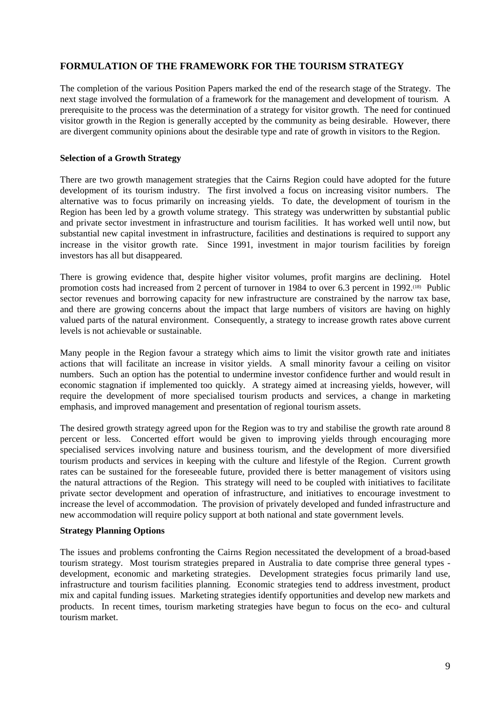# **FORMULATION OF THE FRAMEWORK FOR THE TOURISM STRATEGY**

The completion of the various Position Papers marked the end of the research stage of the Strategy. The next stage involved the formulation of a framework for the management and development of tourism. A prerequisite to the process was the determination of a strategy for visitor growth. The need for continued visitor growth in the Region is generally accepted by the community as being desirable. However, there are divergent community opinions about the desirable type and rate of growth in visitors to the Region.

#### **Selection of a Growth Strategy**

There are two growth management strategies that the Cairns Region could have adopted for the future development of its tourism industry. The first involved a focus on increasing visitor numbers. The alternative was to focus primarily on increasing yields. To date, the development of tourism in the Region has been led by a growth volume strategy. This strategy was underwritten by substantial public and private sector investment in infrastructure and tourism facilities. It has worked well until now, but substantial new capital investment in infrastructure, facilities and destinations is required to support any increase in the visitor growth rate. Since 1991, investment in major tourism facilities by foreign investors has all but disappeared.

There is growing evidence that, despite higher visitor volumes, profit margins are declining. Hotel promotion costs had increased from 2 percent of turnover in 1984 to over 6.3 percent in 1992.<sup>(18)</sup> Public sector revenues and borrowing capacity for new infrastructure are constrained by the narrow tax base, and there are growing concerns about the impact that large numbers of visitors are having on highly valued parts of the natural environment. Consequently, a strategy to increase growth rates above current levels is not achievable or sustainable.

Many people in the Region favour a strategy which aims to limit the visitor growth rate and initiates actions that will facilitate an increase in visitor yields. A small minority favour a ceiling on visitor numbers. Such an option has the potential to undermine investor confidence further and would result in economic stagnation if implemented too quickly. A strategy aimed at increasing yields, however, will require the development of more specialised tourism products and services, a change in marketing emphasis, and improved management and presentation of regional tourism assets.

The desired growth strategy agreed upon for the Region was to try and stabilise the growth rate around 8 percent or less. Concerted effort would be given to improving yields through encouraging more specialised services involving nature and business tourism, and the development of more diversified tourism products and services in keeping with the culture and lifestyle of the Region. Current growth rates can be sustained for the foreseeable future, provided there is better management of visitors using the natural attractions of the Region. This strategy will need to be coupled with initiatives to facilitate private sector development and operation of infrastructure, and initiatives to encourage investment to increase the level of accommodation. The provision of privately developed and funded infrastructure and new accommodation will require policy support at both national and state government levels.

#### **Strategy Planning Options**

The issues and problems confronting the Cairns Region necessitated the development of a broad-based tourism strategy. Most tourism strategies prepared in Australia to date comprise three general types development, economic and marketing strategies. Development strategies focus primarily land use, infrastructure and tourism facilities planning. Economic strategies tend to address investment, product mix and capital funding issues. Marketing strategies identify opportunities and develop new markets and products. In recent times, tourism marketing strategies have begun to focus on the eco- and cultural tourism market.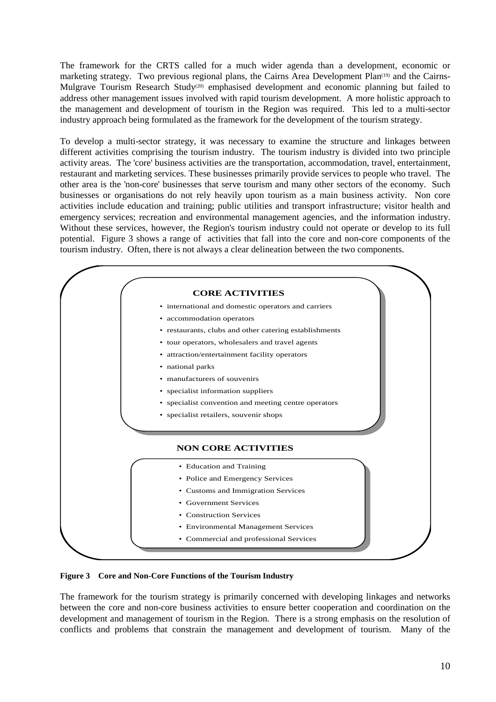The framework for the CRTS called for a much wider agenda than a development, economic or marketing strategy. Two previous regional plans, the Cairns Area Development Plan<sup>(19)</sup> and the Cairns-Mulgrave Tourism Research Study<sup>(20)</sup> emphasised development and economic planning but failed to address other management issues involved with rapid tourism development. A more holistic approach to the management and development of tourism in the Region was required. This led to a multi-sector industry approach being formulated as the framework for the development of the tourism strategy.

To develop a multi-sector strategy, it was necessary to examine the structure and linkages between different activities comprising the tourism industry. The tourism industry is divided into two principle activity areas. The 'core' business activities are the transportation, accommodation, travel, entertainment, restaurant and marketing services. These businesses primarily provide services to people who travel. The other area is the 'non-core' businesses that serve tourism and many other sectors of the economy. Such businesses or organisations do not rely heavily upon tourism as a main business activity. Non core activities include education and training; public utilities and transport infrastructure; visitor health and emergency services; recreation and environmental management agencies, and the information industry. Without these services, however, the Region's tourism industry could not operate or develop to its full potential. Figure 3 shows a range of activities that fall into the core and non-core components of the tourism industry. Often, there is not always a clear delineation between the two components.



**Figure 3 Core and Non-Core Functions of the Tourism Industry**

The framework for the tourism strategy is primarily concerned with developing linkages and networks between the core and non-core business activities to ensure better cooperation and coordination on the development and management of tourism in the Region. There is a strong emphasis on the resolution of conflicts and problems that constrain the management and development of tourism. Many of the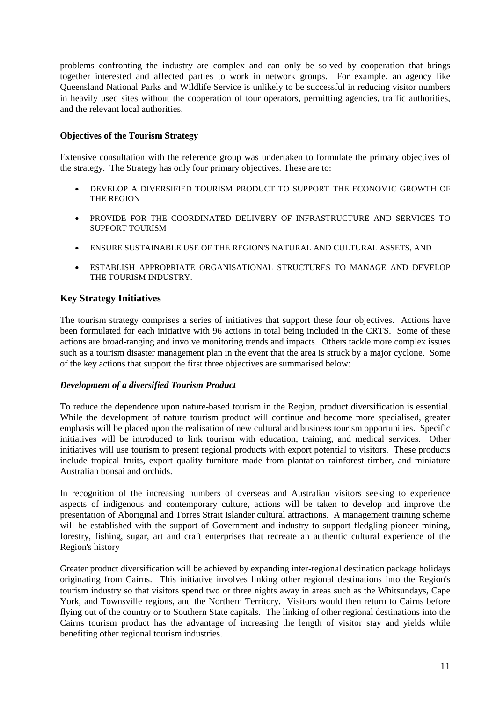problems confronting the industry are complex and can only be solved by cooperation that brings together interested and affected parties to work in network groups. For example, an agency like Queensland National Parks and Wildlife Service is unlikely to be successful in reducing visitor numbers in heavily used sites without the cooperation of tour operators, permitting agencies, traffic authorities, and the relevant local authorities.

## **Objectives of the Tourism Strategy**

Extensive consultation with the reference group was undertaken to formulate the primary objectives of the strategy. The Strategy has only four primary objectives. These are to:

- DEVELOP A DIVERSIFIED TOURISM PRODUCT TO SUPPORT THE ECONOMIC GROWTH OF THE REGION
- PROVIDE FOR THE COORDINATED DELIVERY OF INFRASTRUCTURE AND SERVICES TO SUPPORT TOURISM
- ENSURE SUSTAINABLE USE OF THE REGION'S NATURAL AND CULTURAL ASSETS, AND
- ESTABLISH APPROPRIATE ORGANISATIONAL STRUCTURES TO MANAGE AND DEVELOP THE TOURISM INDUSTRY.

# **Key Strategy Initiatives**

The tourism strategy comprises a series of initiatives that support these four objectives. Actions have been formulated for each initiative with 96 actions in total being included in the CRTS. Some of these actions are broad-ranging and involve monitoring trends and impacts. Others tackle more complex issues such as a tourism disaster management plan in the event that the area is struck by a major cyclone. Some of the key actions that support the first three objectives are summarised below:

#### *Development of a diversified Tourism Product*

To reduce the dependence upon nature-based tourism in the Region, product diversification is essential. While the development of nature tourism product will continue and become more specialised, greater emphasis will be placed upon the realisation of new cultural and business tourism opportunities. Specific initiatives will be introduced to link tourism with education, training, and medical services. Other initiatives will use tourism to present regional products with export potential to visitors. These products include tropical fruits, export quality furniture made from plantation rainforest timber, and miniature Australian bonsai and orchids.

In recognition of the increasing numbers of overseas and Australian visitors seeking to experience aspects of indigenous and contemporary culture, actions will be taken to develop and improve the presentation of Aboriginal and Torres Strait Islander cultural attractions. A management training scheme will be established with the support of Government and industry to support fledgling pioneer mining, forestry, fishing, sugar, art and craft enterprises that recreate an authentic cultural experience of the Region's history

Greater product diversification will be achieved by expanding inter-regional destination package holidays originating from Cairns. This initiative involves linking other regional destinations into the Region's tourism industry so that visitors spend two or three nights away in areas such as the Whitsundays, Cape York, and Townsville regions, and the Northern Territory. Visitors would then return to Cairns before flying out of the country or to Southern State capitals. The linking of other regional destinations into the Cairns tourism product has the advantage of increasing the length of visitor stay and yields while benefiting other regional tourism industries.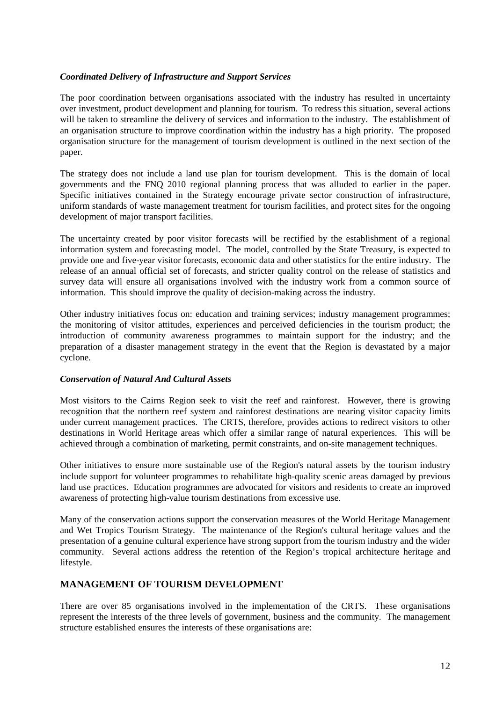## *Coordinated Delivery of Infrastructure and Support Services*

The poor coordination between organisations associated with the industry has resulted in uncertainty over investment, product development and planning for tourism. To redress this situation, several actions will be taken to streamline the delivery of services and information to the industry. The establishment of an organisation structure to improve coordination within the industry has a high priority. The proposed organisation structure for the management of tourism development is outlined in the next section of the paper.

The strategy does not include a land use plan for tourism development. This is the domain of local governments and the FNQ 2010 regional planning process that was alluded to earlier in the paper. Specific initiatives contained in the Strategy encourage private sector construction of infrastructure, uniform standards of waste management treatment for tourism facilities, and protect sites for the ongoing development of major transport facilities.

The uncertainty created by poor visitor forecasts will be rectified by the establishment of a regional information system and forecasting model. The model, controlled by the State Treasury, is expected to provide one and five-year visitor forecasts, economic data and other statistics for the entire industry. The release of an annual official set of forecasts, and stricter quality control on the release of statistics and survey data will ensure all organisations involved with the industry work from a common source of information. This should improve the quality of decision-making across the industry.

Other industry initiatives focus on: education and training services; industry management programmes; the monitoring of visitor attitudes, experiences and perceived deficiencies in the tourism product; the introduction of community awareness programmes to maintain support for the industry; and the preparation of a disaster management strategy in the event that the Region is devastated by a major cyclone.

# *Conservation of Natural And Cultural Assets*

Most visitors to the Cairns Region seek to visit the reef and rainforest. However, there is growing recognition that the northern reef system and rainforest destinations are nearing visitor capacity limits under current management practices. The CRTS, therefore, provides actions to redirect visitors to other destinations in World Heritage areas which offer a similar range of natural experiences. This will be achieved through a combination of marketing, permit constraints, and on-site management techniques.

Other initiatives to ensure more sustainable use of the Region's natural assets by the tourism industry include support for volunteer programmes to rehabilitate high-quality scenic areas damaged by previous land use practices. Education programmes are advocated for visitors and residents to create an improved awareness of protecting high-value tourism destinations from excessive use.

Many of the conservation actions support the conservation measures of the World Heritage Management and Wet Tropics Tourism Strategy. The maintenance of the Region's cultural heritage values and the presentation of a genuine cultural experience have strong support from the tourism industry and the wider community. Several actions address the retention of the Region's tropical architecture heritage and lifestyle.

# **MANAGEMENT OF TOURISM DEVELOPMENT**

There are over 85 organisations involved in the implementation of the CRTS. These organisations represent the interests of the three levels of government, business and the community. The management structure established ensures the interests of these organisations are: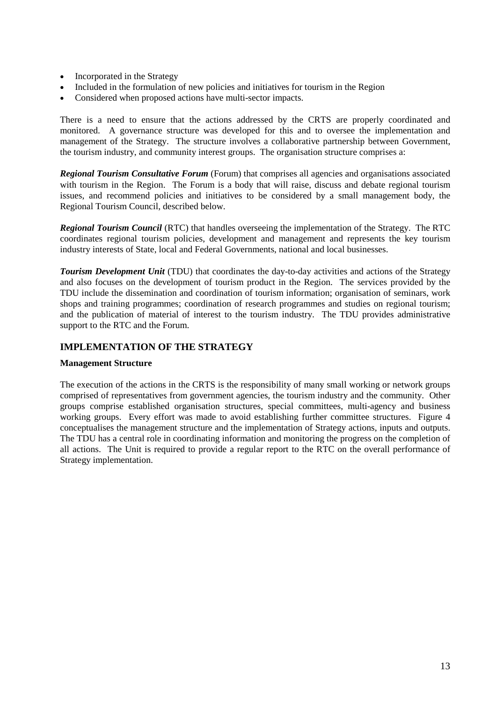- Incorporated in the Strategy
- Included in the formulation of new policies and initiatives for tourism in the Region
- Considered when proposed actions have multi-sector impacts.

There is a need to ensure that the actions addressed by the CRTS are properly coordinated and monitored. A governance structure was developed for this and to oversee the implementation and management of the Strategy. The structure involves a collaborative partnership between Government, the tourism industry, and community interest groups. The organisation structure comprises a:

*Regional Tourism Consultative Forum* (Forum) that comprises all agencies and organisations associated with tourism in the Region. The Forum is a body that will raise, discuss and debate regional tourism issues, and recommend policies and initiatives to be considered by a small management body, the Regional Tourism Council, described below.

*Regional Tourism Council* (RTC) that handles overseeing the implementation of the Strategy. The RTC coordinates regional tourism policies, development and management and represents the key tourism industry interests of State, local and Federal Governments, national and local businesses.

**Tourism Development Unit** (TDU) that coordinates the day-to-day activities and actions of the Strategy and also focuses on the development of tourism product in the Region. The services provided by the TDU include the dissemination and coordination of tourism information; organisation of seminars, work shops and training programmes; coordination of research programmes and studies on regional tourism; and the publication of material of interest to the tourism industry. The TDU provides administrative support to the RTC and the Forum.

# **IMPLEMENTATION OF THE STRATEGY**

#### **Management Structure**

The execution of the actions in the CRTS is the responsibility of many small working or network groups comprised of representatives from government agencies, the tourism industry and the community. Other groups comprise established organisation structures, special committees, multi-agency and business working groups. Every effort was made to avoid establishing further committee structures. Figure 4 conceptualises the management structure and the implementation of Strategy actions, inputs and outputs. The TDU has a central role in coordinating information and monitoring the progress on the completion of all actions. The Unit is required to provide a regular report to the RTC on the overall performance of Strategy implementation.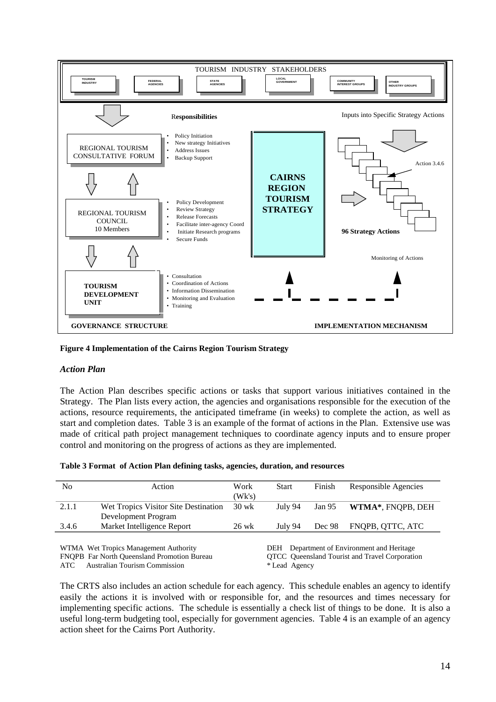

**Figure 4 Implementation of the Cairns Region Tourism Strategy**

#### *Action Plan*

The Action Plan describes specific actions or tasks that support various initiatives contained in the Strategy. The Plan lists every action, the agencies and organisations responsible for the execution of the actions, resource requirements, the anticipated timeframe (in weeks) to complete the action, as well as start and completion dates. Table 3 is an example of the format of actions in the Plan. Extensive use was made of critical path project management techniques to coordinate agency inputs and to ensure proper control and monitoring on the progress of actions as they are implemented.

|  |  |  |  | Table 3 Format of Action Plan defining tasks, agencies, duration, and resources |
|--|--|--|--|---------------------------------------------------------------------------------|
|--|--|--|--|---------------------------------------------------------------------------------|

| No                                    | Action                                             | Work    | <b>Start</b>                                  | Finish | Responsible Agencies                            |  |
|---------------------------------------|----------------------------------------------------|---------|-----------------------------------------------|--------|-------------------------------------------------|--|
|                                       |                                                    | (Wk's)  |                                               |        |                                                 |  |
| 2.1.1                                 | Wet Tropics Visitor Site Destination               | 30 wk   | July 94                                       | Jan 95 | WTMA*, FNQPB, DEH                               |  |
|                                       | Development Program                                |         |                                               |        |                                                 |  |
| 3.4.6                                 | Market Intelligence Report                         | $26$ wk | July 94                                       | Dec 98 | FNQPB, QTTC, ATC                                |  |
|                                       |                                                    |         |                                               |        |                                                 |  |
| WTMA Wet Tropics Management Authority |                                                    |         | Department of Environment and Heritage<br>DEH |        |                                                 |  |
|                                       | <b>FNOPB</b> Far North Queensland Promotion Bureau |         |                                               |        | OTCC. Queensland Tourist and Travel Corporation |  |

ATC Australian Tourism Commission \* Lead Agency

Fourist and Travel Corporation

The CRTS also includes an action schedule for each agency. This schedule enables an agency to identify easily the actions it is involved with or responsible for, and the resources and times necessary for implementing specific actions. The schedule is essentially a check list of things to be done. It is also a useful long-term budgeting tool, especially for government agencies. Table 4 is an example of an agency action sheet for the Cairns Port Authority.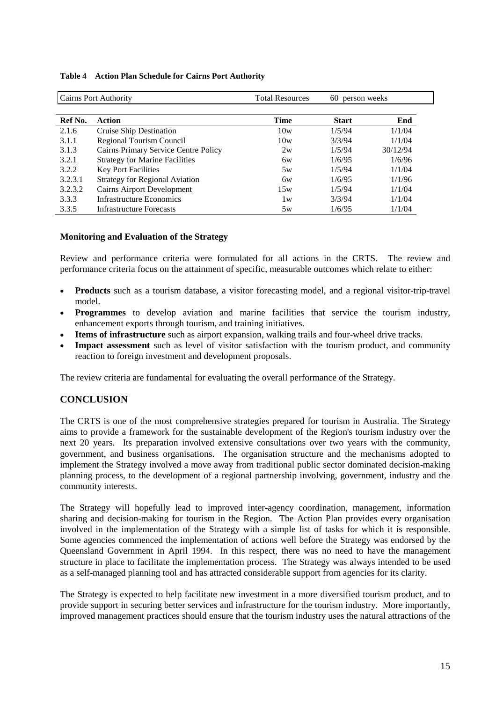| <b>Cairns Port Authority</b> |                                       | <b>Total Resources</b> | 60 person weeks |          |
|------------------------------|---------------------------------------|------------------------|-----------------|----------|
|                              |                                       |                        |                 |          |
| Ref No.                      | Action                                | <b>Time</b>            | <b>Start</b>    | End      |
| 2.1.6                        | Cruise Ship Destination               | 10w                    | 1/5/94          | 1/1/04   |
| 3.1.1                        | Regional Tourism Council              | 10w                    | 3/3/94          | 1/1/04   |
| 3.1.3                        | Cairns Primary Service Centre Policy  | 2w                     | 1/5/94          | 30/12/94 |
| 3.2.1                        | <b>Strategy for Marine Facilities</b> | 6w                     | 1/6/95          | 1/6/96   |
| 3.2.2                        | <b>Key Port Facilities</b>            | 5w                     | 1/5/94          | 1/1/04   |
| 3.2.3.1                      | <b>Strategy for Regional Aviation</b> | бw                     | 1/6/95          | 1/1/96   |
| 3.2.3.2                      | <b>Cairns Airport Development</b>     | 15w                    | 1/5/94          | 1/1/04   |
| 3.3.3                        | Infrastructure Economics              | 1w                     | 3/3/94          | 1/1/04   |
| 3.3.5                        | <b>Infrastructure Forecasts</b>       | 5w                     | 1/6/95          | 1/1/04   |

#### **Table 4 Action Plan Schedule for Cairns Port Authority**

## **Monitoring and Evaluation of the Strategy**

Review and performance criteria were formulated for all actions in the CRTS. The review and performance criteria focus on the attainment of specific, measurable outcomes which relate to either:

- **Products** such as a tourism database, a visitor forecasting model, and a regional visitor-trip-travel model.
- **Programmes** to develop aviation and marine facilities that service the tourism industry, enhancement exports through tourism, and training initiatives.
- **Items of infrastructure** such as airport expansion, walking trails and four-wheel drive tracks.
- **Impact assessment** such as level of visitor satisfaction with the tourism product, and community reaction to foreign investment and development proposals.

The review criteria are fundamental for evaluating the overall performance of the Strategy.

# **CONCLUSION**

The CRTS is one of the most comprehensive strategies prepared for tourism in Australia. The Strategy aims to provide a framework for the sustainable development of the Region's tourism industry over the next 20 years. Its preparation involved extensive consultations over two years with the community, government, and business organisations. The organisation structure and the mechanisms adopted to implement the Strategy involved a move away from traditional public sector dominated decision-making planning process, to the development of a regional partnership involving, government, industry and the community interests.

The Strategy will hopefully lead to improved inter-agency coordination, management, information sharing and decision-making for tourism in the Region. The Action Plan provides every organisation involved in the implementation of the Strategy with a simple list of tasks for which it is responsible. Some agencies commenced the implementation of actions well before the Strategy was endorsed by the Queensland Government in April 1994. In this respect, there was no need to have the management structure in place to facilitate the implementation process. The Strategy was always intended to be used as a self-managed planning tool and has attracted considerable support from agencies for its clarity.

The Strategy is expected to help facilitate new investment in a more diversified tourism product, and to provide support in securing better services and infrastructure for the tourism industry. More importantly, improved management practices should ensure that the tourism industry uses the natural attractions of the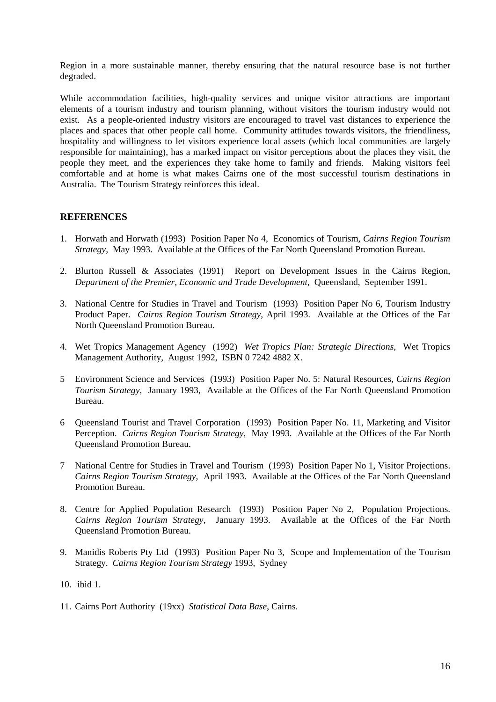Region in a more sustainable manner, thereby ensuring that the natural resource base is not further degraded.

While accommodation facilities, high-quality services and unique visitor attractions are important elements of a tourism industry and tourism planning, without visitors the tourism industry would not exist. As a people-oriented industry visitors are encouraged to travel vast distances to experience the places and spaces that other people call home. Community attitudes towards visitors, the friendliness, hospitality and willingness to let visitors experience local assets (which local communities are largely responsible for maintaining), has a marked impact on visitor perceptions about the places they visit, the people they meet, and the experiences they take home to family and friends. Making visitors feel comfortable and at home is what makes Cairns one of the most successful tourism destinations in Australia. The Tourism Strategy reinforces this ideal.

# **REFERENCES**

- 1. Horwath and Horwath (1993) Position Paper No 4, Economics of Tourism, *Cairns Region Tourism Strategy,* May 1993. Available at the Offices of the Far North Queensland Promotion Bureau.
- 2. Blurton Russell & Associates (1991) Report on Development Issues in the Cairns Region, *Department of the Premier, Economic and Trade Development,* Queensland, September 1991.
- 3. National Centre for Studies in Travel and Tourism (1993) Position Paper No 6, Tourism Industry Product Paper. *Cairns Region Tourism Strategy,* April 1993. Available at the Offices of the Far North Queensland Promotion Bureau.
- 4. Wet Tropics Management Agency (1992) *Wet Tropics Plan: Strategic Directions*, Wet Tropics Management Authority, August 1992, ISBN 0 7242 4882 X.
- 5 Environment Science and Services (1993) Position Paper No. 5: Natural Resources, *Cairns Region Tourism Strategy,* January 1993, Available at the Offices of the Far North Queensland Promotion Bureau.
- 6 Queensland Tourist and Travel Corporation (1993) Position Paper No. 11, Marketing and Visitor Perception. *Cairns Region Tourism Strategy,* May 1993. Available at the Offices of the Far North Queensland Promotion Bureau.
- 7 National Centre for Studies in Travel and Tourism (1993) Position Paper No 1, Visitor Projections. *Cairns Region Tourism Strategy,* April 1993. Available at the Offices of the Far North Queensland Promotion Bureau.
- 8. Centre for Applied Population Research (1993) Position Paper No 2, Population Projections. *Cairns Region Tourism Strategy,* January 1993. Available at the Offices of the Far North Queensland Promotion Bureau.
- 9. Manidis Roberts Pty Ltd (1993) Position Paper No 3, Scope and Implementation of the Tourism Strategy. *Cairns Region Tourism Strategy* 1993, Sydney
- 10. ibid 1.
- 11. Cairns Port Authority (19xx) *Statistical Data Base*, Cairns.